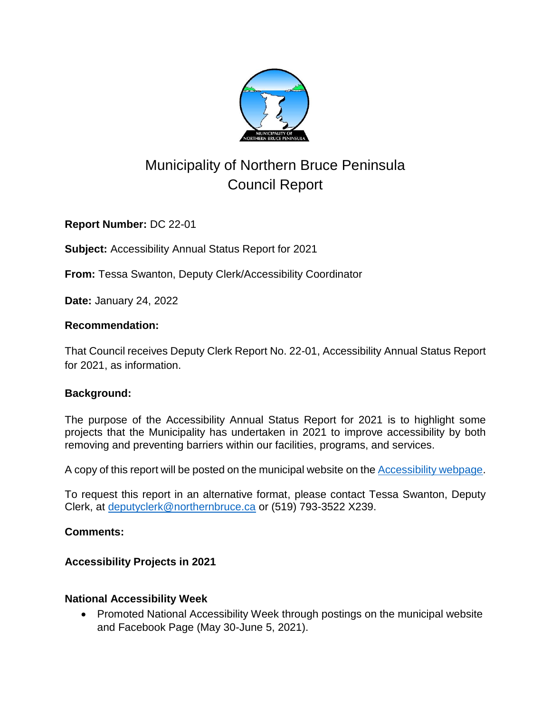

# Municipality of Northern Bruce Peninsula Council Report

**Report Number:** DC 22-01

**Subject:** Accessibility Annual Status Report for 2021

**From:** Tessa Swanton, Deputy Clerk/Accessibility Coordinator

**Date:** January 24, 2022

### **Recommendation:**

That Council receives Deputy Clerk Report No. 22-01, Accessibility Annual Status Report for 2021, as information.

### **Background:**

The purpose of the Accessibility Annual Status Report for 2021 is to highlight some projects that the Municipality has undertaken in 2021 to improve accessibility by both removing and preventing barriers within our facilities, programs, and services.

A copy of this report will be posted on the municipal website on the **Accessibility webpage**.

To request this report in an alternative format, please contact Tessa Swanton, Deputy Clerk, at [deputyclerk@northernbruce.ca](mailto:deputyclerk@northernbruce.ca) or (519) 793-3522 X239.

#### **Comments:**

### **Accessibility Projects in 2021**

### **National Accessibility Week**

• Promoted National Accessibility Week through postings on the municipal website and Facebook Page (May 30-June 5, 2021).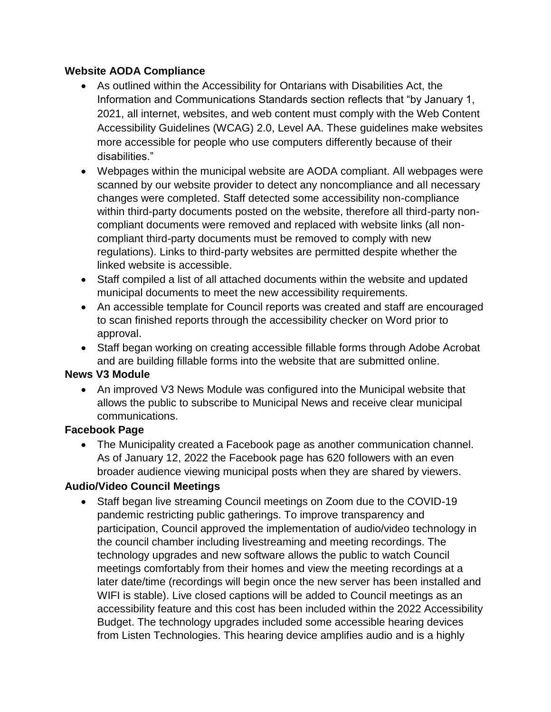### **Website AODA Compliance**

- As outlined within the Accessibility for Ontarians with Disabilities Act, the Information and Communications Standards section reflects that "by January 1, 2021, all internet, websites, and web content must comply with the Web Content Accessibility Guidelines (WCAG) 2.0, Level AA. These guidelines make websites more accessible for people who use computers differently because of their disabilities."
- Webpages within the municipal website are AODA compliant. All webpages were scanned by our website provider to detect any noncompliance and all necessary changes were completed. Staff detected some accessibility non-compliance within third-party documents posted on the website, therefore all third-party noncompliant documents were removed and replaced with website links (all noncompliant third-party documents must be removed to comply with new regulations). Links to third-party websites are permitted despite whether the linked website is accessible.
- Staff compiled a list of all attached documents within the website and updated municipal documents to meet the new accessibility requirements.
- An accessible template for Council reports was created and staff are encouraged to scan finished reports through the accessibility checker on Word prior to approval.
- Staff began working on creating accessible fillable forms through Adobe Acrobat and are building fillable forms into the website that are submitted online.

### **News V3 Module**

 An improved V3 News Module was configured into the Municipal website that allows the public to subscribe to Municipal News and receive clear municipal communications.

#### **Facebook Page**

 The Municipality created a Facebook page as another communication channel. As of January 12, 2022 the Facebook page has 620 followers with an even broader audience viewing municipal posts when they are shared by viewers.

### **Audio/Video Council Meetings**

 Staff began live streaming Council meetings on Zoom due to the COVID-19 pandemic restricting public gatherings. To improve transparency and participation, Council approved the implementation of audio/video technology in the council chamber including livestreaming and meeting recordings. The technology upgrades and new software allows the public to watch Council meetings comfortably from their homes and view the meeting recordings at a later date/time (recordings will begin once the new server has been installed and WIFI is stable). Live closed captions will be added to Council meetings as an accessibility feature and this cost has been included within the 2022 Accessibility Budget. The technology upgrades included some accessible hearing devices from Listen Technologies. This hearing device amplifies audio and is a highly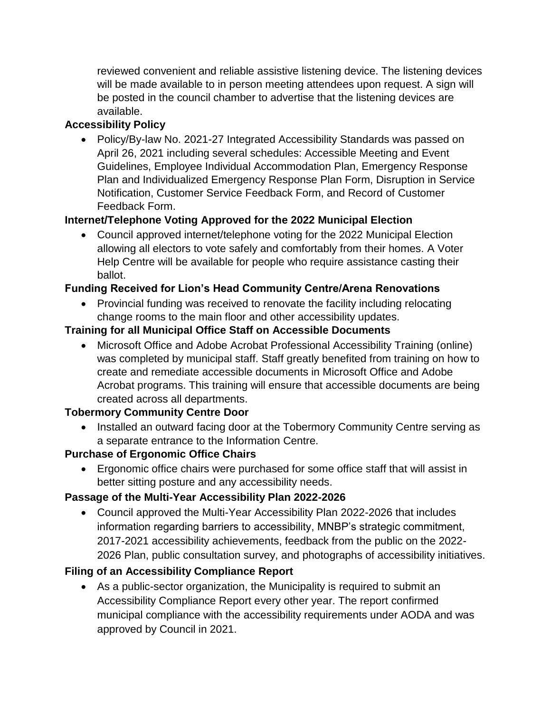reviewed convenient and reliable assistive listening device. The listening devices will be made available to in person meeting attendees upon request. A sign will be posted in the council chamber to advertise that the listening devices are available.

### **Accessibility Policy**

• Policy/By-law No. 2021-27 Integrated Accessibility Standards was passed on April 26, 2021 including several schedules: Accessible Meeting and Event Guidelines, Employee Individual Accommodation Plan, Emergency Response Plan and Individualized Emergency Response Plan Form, Disruption in Service Notification, Customer Service Feedback Form, and Record of Customer Feedback Form.

# **Internet/Telephone Voting Approved for the 2022 Municipal Election**

 Council approved internet/telephone voting for the 2022 Municipal Election allowing all electors to vote safely and comfortably from their homes. A Voter Help Centre will be available for people who require assistance casting their ballot.

# **Funding Received for Lion's Head Community Centre/Arena Renovations**

• Provincial funding was received to renovate the facility including relocating change rooms to the main floor and other accessibility updates.

### **Training for all Municipal Office Staff on Accessible Documents**

 Microsoft Office and Adobe Acrobat Professional Accessibility Training (online) was completed by municipal staff. Staff greatly benefited from training on how to create and remediate accessible documents in Microsoft Office and Adobe Acrobat programs. This training will ensure that accessible documents are being created across all departments.

### **Tobermory Community Centre Door**

• Installed an outward facing door at the Tobermory Community Centre serving as a separate entrance to the Information Centre.

# **Purchase of Ergonomic Office Chairs**

 Ergonomic office chairs were purchased for some office staff that will assist in better sitting posture and any accessibility needs.

# **Passage of the Multi-Year Accessibility Plan 2022-2026**

 Council approved the Multi-Year Accessibility Plan 2022-2026 that includes information regarding barriers to accessibility, MNBP's strategic commitment, 2017-2021 accessibility achievements, feedback from the public on the 2022- 2026 Plan, public consultation survey, and photographs of accessibility initiatives.

# **Filing of an Accessibility Compliance Report**

 As a public-sector organization, the Municipality is required to submit an Accessibility Compliance Report every other year. The report confirmed municipal compliance with the accessibility requirements under AODA and was approved by Council in 2021.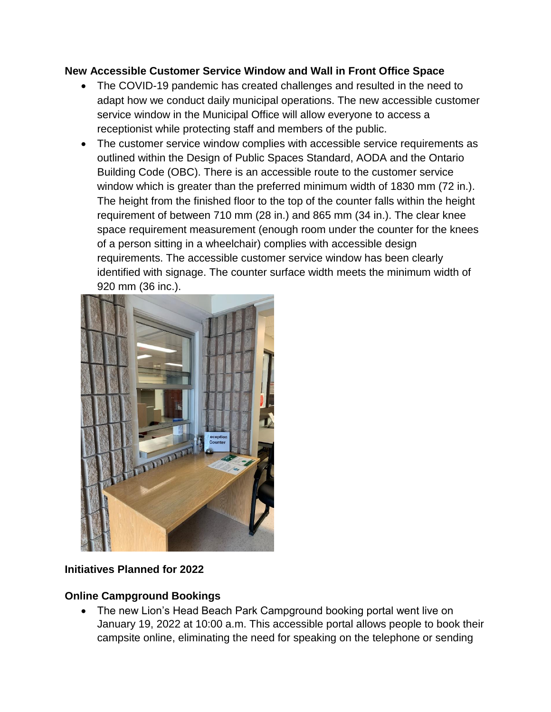### **New Accessible Customer Service Window and Wall in Front Office Space**

- The COVID-19 pandemic has created challenges and resulted in the need to adapt how we conduct daily municipal operations. The new accessible customer service window in the Municipal Office will allow everyone to access a receptionist while protecting staff and members of the public.
- The customer service window complies with accessible service requirements as outlined within the Design of Public Spaces Standard, AODA and the Ontario Building Code (OBC). There is an accessible route to the customer service window which is greater than the preferred minimum width of 1830 mm (72 in.). The height from the finished floor to the top of the counter falls within the height requirement of between 710 mm (28 in.) and 865 mm (34 in.). The clear knee space requirement measurement (enough room under the counter for the knees of a person sitting in a wheelchair) complies with accessible design requirements. The accessible customer service window has been clearly identified with signage. The counter surface width meets the minimum width of 920 mm (36 inc.).



### **Initiatives Planned for 2022**

### **Online Campground Bookings**

• The new Lion's Head Beach Park Campground booking portal went live on January 19, 2022 at 10:00 a.m. This accessible portal allows people to book their campsite online, eliminating the need for speaking on the telephone or sending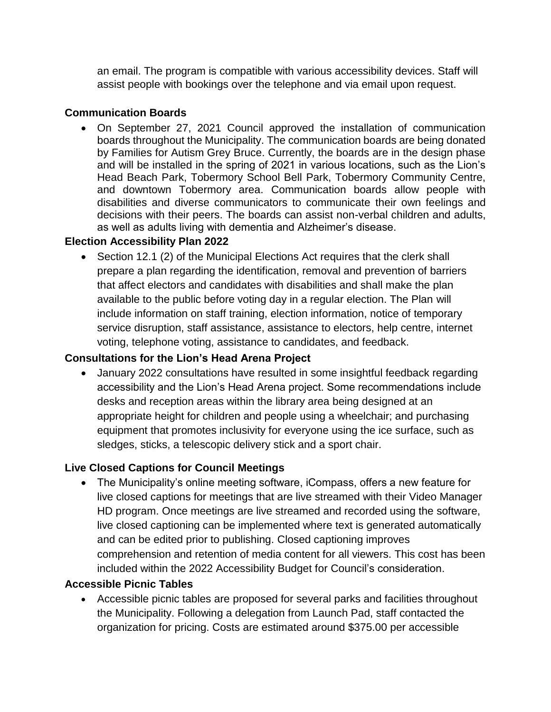an email. The program is compatible with various accessibility devices. Staff will assist people with bookings over the telephone and via email upon request.

### **Communication Boards**

 On September 27, 2021 Council approved the installation of communication boards throughout the Municipality. The communication boards are being donated by Families for Autism Grey Bruce. Currently, the boards are in the design phase and will be installed in the spring of 2021 in various locations, such as the Lion's Head Beach Park, Tobermory School Bell Park, Tobermory Community Centre, and downtown Tobermory area. Communication boards allow people with disabilities and diverse communicators to communicate their own feelings and decisions with their peers. The boards can assist non-verbal children and adults, as well as adults living with dementia and Alzheimer's disease.

### **Election Accessibility Plan 2022**

• Section 12.1 (2) of the Municipal Elections Act requires that the clerk shall prepare a plan regarding the identification, removal and prevention of barriers that affect electors and candidates with disabilities and shall make the plan available to the public before voting day in a regular election. The Plan will include information on staff training, election information, notice of temporary service disruption, staff assistance, assistance to electors, help centre, internet voting, telephone voting, assistance to candidates, and feedback.

### **Consultations for the Lion's Head Arena Project**

 January 2022 consultations have resulted in some insightful feedback regarding accessibility and the Lion's Head Arena project. Some recommendations include desks and reception areas within the library area being designed at an appropriate height for children and people using a wheelchair; and purchasing equipment that promotes inclusivity for everyone using the ice surface, such as sledges, sticks, a telescopic delivery stick and a sport chair.

### **Live Closed Captions for Council Meetings**

 The Municipality's online meeting software, iCompass, offers a new feature for live closed captions for meetings that are live streamed with their Video Manager HD program. Once meetings are live streamed and recorded using the software, live closed captioning can be implemented where text is generated automatically and can be edited prior to publishing. Closed captioning improves comprehension and retention of media content for all viewers. This cost has been included within the 2022 Accessibility Budget for Council's consideration.

### **Accessible Picnic Tables**

 Accessible picnic tables are proposed for several parks and facilities throughout the Municipality. Following a delegation from Launch Pad, staff contacted the organization for pricing. Costs are estimated around \$375.00 per accessible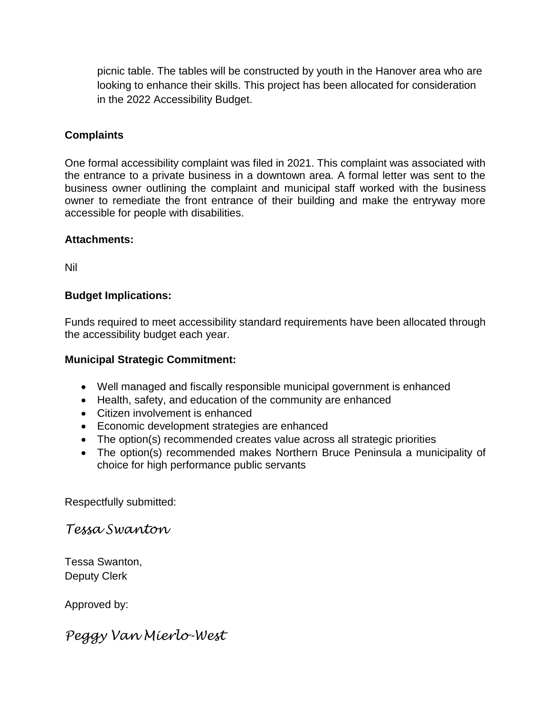picnic table. The tables will be constructed by youth in the Hanover area who are looking to enhance their skills. This project has been allocated for consideration in the 2022 Accessibility Budget.

#### **Complaints**

One formal accessibility complaint was filed in 2021. This complaint was associated with the entrance to a private business in a downtown area. A formal letter was sent to the business owner outlining the complaint and municipal staff worked with the business owner to remediate the front entrance of their building and make the entryway more accessible for people with disabilities.

#### **Attachments:**

Nil

#### **Budget Implications:**

Funds required to meet accessibility standard requirements have been allocated through the accessibility budget each year.

#### **Municipal Strategic Commitment:**

- Well managed and fiscally responsible municipal government is enhanced
- Health, safety, and education of the community are enhanced
- Citizen involvement is enhanced
- Economic development strategies are enhanced
- The option(s) recommended creates value across all strategic priorities
- The option(s) recommended makes Northern Bruce Peninsula a municipality of choice for high performance public servants

Respectfully submitted:

*Tessa Swanton*

Tessa Swanton, Deputy Clerk

Approved by:

*Peggy Van Mierlo-West*